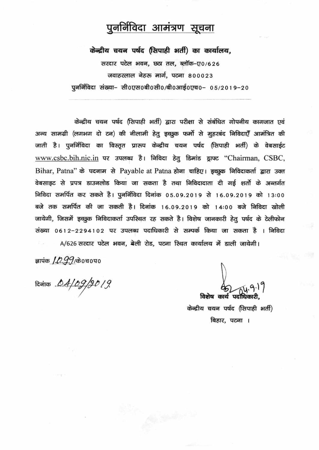# पुनर्निविदा आमंत्रण सूचना

केन्द्रीय चयन पर्षद (सिपाही भर्ती) का कार्यालय, सरदार पटेल भवन, छठा तल, ब्लॉक-ए0/626 जवाहरलाल नेहरू मार्ग, पटना 800023 पूनर्निविदा संख्या– सी0एस0बी0सी0/बी0आई0एच0– 05/2019–20

केन्द्रीय चयन पर्षद (सिपाही भर्ती) द्वारा परीक्षा से संबंधित गोपनीय कागजात एवं अन्य सामग्री (लगभग दो टन) की नीलामी हेतू इच्छूक फर्मो से मूहरबंद निविदाएँ आमंत्रित की जाती है। पुनर्निविदा का विस्तृत प्रारूप केन्द्रीय चयन पर्षद (सिपाही भर्ती) के वेबसाईट www.csbc.bih.nic.in पर उपलब्ध है। निविदा हेतू डिमांड ड्राफ्ट "Chairman, CSBC, Bihar, Patna" के पदनाम से Payable at Patna होना चाहिए। इच्छूक निविदाकर्ता द्वारा उक्त वेबसाइट से प्रपत्र डाउनलोड किया जा सकता है तथा निविदादाता दी गई शर्तो के अन्तर्गत निविदा समर्पित कर सकते है। पुनर्निविदा दिनांक 05.09.2019 से 16.09.2019 को 13:00 बजे तक समर्पित की जा सकती है। दिनांक 16.09.2019 को 14:00 बजे निविदा खोली जायेगी, जिसमें इच्छुक निविदाकर्ता उपस्थित रह सकते है। विशेष जानकारी हेतू पर्षद के टेलीफोन संख्या 0612-2294102 पर उपलब्ध पदाधिकारी से सम्पर्क किया जा सकता है । निविदा A/626 सरदार पटेल भवन, बेली रोड, पटना स्थित कार्यालय में डाली जायेगी।

ज्ञापंक *1.0.99 (*केoचoपo<br>दिनांक *.D.4 | 0.9. | 9.0 | 9*.

विशेष कार्य पर्दाधित

केन्द्रीय चयन पर्षद (सिपाही भर्ती) बिहार, पटना ।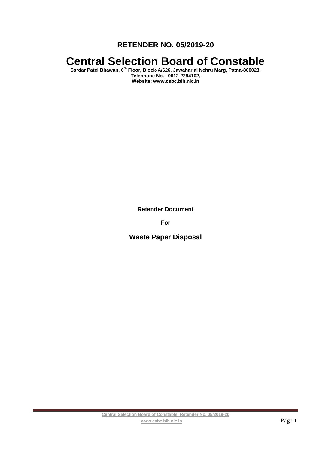**RETENDER NO. 05/2019-20**

# **Central Selection Board of Constable**

**Sardar Patel Bhawan, 6th Floor, Block-A/626, Jawaharlal Nehru Marg, Patna-800023. Telephone No.– 0612-2294102, Website: www.csbc.bih.nic.in**

**Retender Document**

**For**

**Waste Paper Disposal**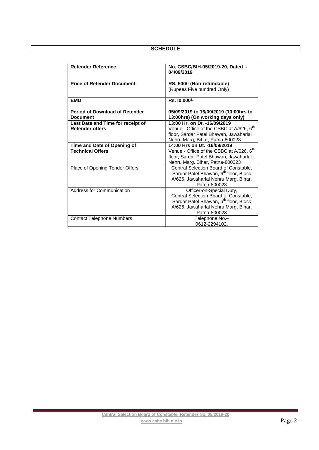# **SCHEDULE**

| <b>Retender Reference</b>             | No. CSBC/BIH-05/2019-20, Dated -<br>04/09/2019       |  |  |
|---------------------------------------|------------------------------------------------------|--|--|
| <b>Price of Retender Document</b>     | RS. 500/- (Non-refundable)                           |  |  |
|                                       | (Rupees Five hundred Only)                           |  |  |
| <b>EMD</b>                            | Rs. 10,000/-                                         |  |  |
| <b>Period of Download of Retender</b> | 05/09/2019 to 16/09/2019 (10:00hrs to                |  |  |
| <b>Document</b>                       | 13:00hrs) (On working days only)                     |  |  |
| Last Date and Time for receipt of     | 13:00 Hr. on Dt. -16/09/2019                         |  |  |
| <b>Retender offers</b>                | Venue - Office of the CSBC at A/626, 6 <sup>th</sup> |  |  |
|                                       | floor, Sardar Patel Bhawan, Jawaharlal               |  |  |
|                                       | Nehru Marg, Bihar, Patna-800023                      |  |  |
| Time and Date of Opening of           | 14:00 Hrs on Dt. -16/09/2019                         |  |  |
| <b>Technical Offers</b>               | Venue - Office of the CSBC at A/626, 6 <sup>th</sup> |  |  |
|                                       | floor, Sardar Patel Bhawan, Jawaharlal               |  |  |
|                                       | Nehru Marg, Bihar, Patna-800023                      |  |  |
| Place of Opening Tender Offers        | Central Selection Board of Constable,                |  |  |
|                                       | Sardar Patel Bhawan, 6 <sup>th</sup> floor, Block    |  |  |
|                                       | A/626, Jawaharlal Nehru Marg, Bihar,                 |  |  |
|                                       | Patna-800023                                         |  |  |
| <b>Address for Communication</b>      | Officer-on-Special Duty,                             |  |  |
|                                       | Central Selection Board of Constable,                |  |  |
|                                       | Sardar Patel Bhawan, 6 <sup>th</sup> floor, Block    |  |  |
|                                       | A/626, Jawaharlal Nehru Marg, Bihar,                 |  |  |
|                                       | Patna-800023                                         |  |  |
| <b>Contact Telephone Numbers</b>      | Telephone No.-                                       |  |  |
|                                       | 0612-2294102.                                        |  |  |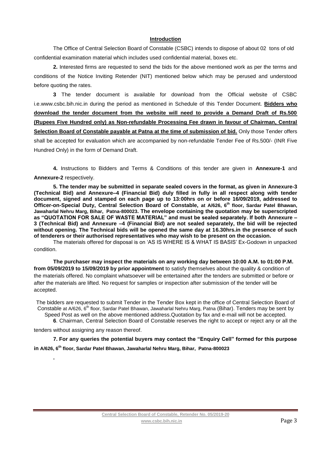## **Introduction**

The Office of Central Selection Board of Constable (CSBC) intends to dispose of about 02 tons of old confidential examination material which includes used confidential material, boxes etc.

**2.** Interested firms are requested to send the bids for the above mentioned work as per the terms and conditions of the Notice Inviting Retender (NIT) mentioned below which may be perused and understood before quoting the rates.

**3** The tender document is available for download from the Official website of CSBC i.e.www.csbc.bih.nic.in during the period as mentioned in Schedule of this Tender Document. **Bidders who download the tender document from the website will need to provide a Demand Draft of Rs.500 (Rupees Five Hundred only) as Non-refundable Processing Fee drawn in favour of Chairman, Central Selection Board of Constable payable at Patna at the time of submission of bid.** Only those Tender offers shall be accepted for evaluation which are accompanied by non-refundable Tender Fee of Rs.500/- (INR Five Hundred Only) in the form of Demand Draft.

**4.** Instructions to Bidders and Terms & Conditions of this tender are given in **Annexure-1** and **Annexure-2** respectively.

**5. The tender may be submitted in separate sealed covers in the format, as given in Annexure-3 (Technical Bid) and Annexure–4 (Financial Bid) duly filled in fully in all respect along with tender document, signed and stamped on each page up to 13:00hrs on or before 16/09/2019, addressed to Officer-on-Special Duty, Central Selection Board of Constable, at A/626, 6th floor, Sardar Patel Bhawan, Jawaharlal Nehru Marg, Bihar, Patna-800023. The envelope containing the quotation may be superscripted as "QUOTATION FOR SALE OF WASTE MATERIAL" and must be sealed separately. If both Annexure – 3 (Technical Bid) and Annexure –4 (Financial Bid) are not sealed separately, the bid will be rejected without opening. The Technical bids will be opened the same day at 16.30hrs.in the presence of such of tenderers or their authorised representatives who may wish to be present on the occasion.**

The materials offered for disposal is on 'AS IS WHERE IS & WHAT IS BASIS' Ex-Godown in unpacked condition.

**The purchaser may inspect the materials on any working day between 10:00 A.M. to 01:00 P.M. from 05/09/2019 to 15/09/2019 by prior appointment** to satisfy themselves about the quality & condition of the materials offered. No complaint whatsoever will be entertained after the tenders are submitted or before or after the materials are lifted. No request for samples or inspection after submission of the tender will be accepted.

The bidders are requested to submit Tender in the Tender Box kept in the office of Central Selection Board of Constable at A/626, 6<sup>th</sup> floor, Sardar Patel Bhawan, Jawaharlal Nehru Marg, Patna (Bihar). Tenders may be sent by Speed Post as well on the above mentioned address.Quotation by fax and e-mail will not be accepted. **6**. Chairman, Central Selection Board of Constable reserves the right to accept or reject any or all the

tenders without assigning any reason thereof.

**.**

**7. For any queries the potential buyers may contact the "Enquiry Cell" formed for this purpose in A/626, 6th floor, Sardar Patel Bhawan, Jawaharlal Nehru Marg, Bihar, Patna-800023**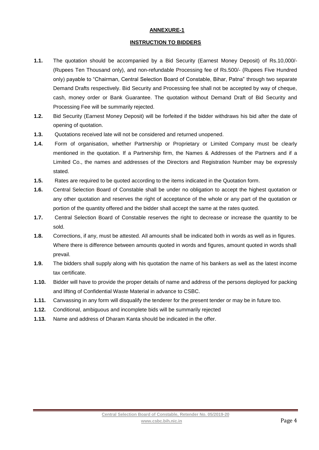# **ANNEXURE-1**

### **INSTRUCTION TO BIDDERS**

- **1.1.** The quotation should be accompanied by a Bid Security (Earnest Money Deposit) of Rs.10,000/- (Rupees Ten Thousand only), and non-refundable Processing fee of Rs.500/- (Rupees Five Hundred only) payable to "Chairman, Central Selection Board of Constable, Bihar, Patna" through two separate Demand Drafts respectively. Bid Security and Processing fee shall not be accepted by way of cheque, cash, money order or Bank Guarantee. The quotation without Demand Draft of Bid Security and Processing Fee will be summarily rejected.
- **1.2.** Bid Security (Earnest Money Deposit) will be forfeited if the bidder withdraws his bid after the date of opening of quotation.
- **1.3.** Quotations received late will not be considered and returned unopened.
- **1.4.** Form of organisation, whether Partnership or Proprietary or Limited Company must be clearly mentioned in the quotation. If a Partnership firm, the Names & Addresses of the Partners and if a Limited Co., the names and addresses of the Directors and Registration Number may be expressly stated.
- **1.5.** Rates are required to be quoted according to the items indicated in the Quotation form.
- **1.6.** Central Selection Board of Constable shall be under no obligation to accept the highest quotation or any other quotation and reserves the right of acceptance of the whole or any part of the quotation or portion of the quantity offered and the bidder shall accept the same at the rates quoted.
- **1.7.** Central Selection Board of Constable reserves the right to decrease or increase the quantity to be sold.
- **1.8.** Corrections, if any, must be attested. All amounts shall be indicated both in words as well as in figures. Where there is difference between amounts quoted in words and figures, amount quoted in words shall prevail.
- **1.9.** The bidders shall supply along with his quotation the name of his bankers as well as the latest income tax certificate.
- **1.10.** Bidder will have to provide the proper details of name and address of the persons deployed for packing and lifting of Confidential Waste Material in advance to CSBC.
- **1.11.** Canvassing in any form will disqualify the tenderer for the present tender or may be in future too.
- **1.12.** Conditional, ambiguous and incomplete bids will be summarily rejected
- **1.13.** Name and address of Dharam Kanta should be indicated in the offer.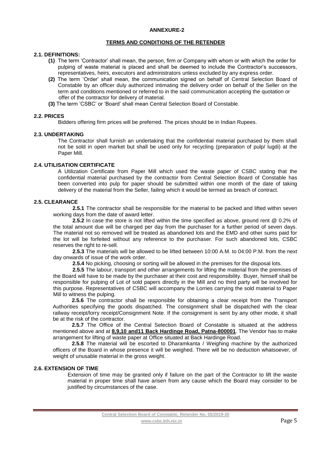#### **ANNEXURE-2**

#### **TERMS AND CONDITIONS OF THE RETENDER**

#### **2.1. DEFINITIONS:**

- **(1)** The term 'Contractor' shall mean, the person, firm or Company with whom or with which the order for pulping of waste material is placed and shall be deemed to include the Contractor's successors, representatives, heirs, executors and administrators unless excluded by any express order.
- **(2)** The term 'Order' shall mean, the communication signed on behalf of Central Selection Board of Constable by an officer duly authorized intimating the delivery order on behalf of the Seller on the term and conditions mentioned or referred to in the said communication accepting the quotation or offer of the contractor for delivery of material.
- **(3)** The term 'CSBC' or 'Board' shall mean Central Selection Board of Constable.

#### **2.2. PRICES**

Bidders offering firm prices will be preferred. The prices should be in Indian Rupees.

#### . **2.3. UNDERTAKING**

The Contractor shall furnish an undertaking that the confidential material purchased by them shall not be sold in open market but shall be used only for recycling (preparation of pulp/ lugdi) at the Paper Mill.

#### **2.4. UTILISATION CERTIFICATE**

A Utilization Certificate from Paper Mill which used the waste paper of CSBC stating that the confidential material purchased by the contractor from Central Selection Board of Constable has been converted into pulp for paper should be submitted within one month of the date of taking delivery of the material from the Seller, failing which it would be termed as breach of contract.

## **2.5. CLEARANCE**

 **2.5.1** The contractor shall be responsible for the material to be packed and lifted within seven working days from the date of award letter.

**2.5.2** In case the store is not lifted within the time specified as above, ground rent @ 0.2% of the total amount due will be charged per day from the purchaser for a further period of seven days. The material not so removed will be treated as abandoned lots and the EMD and other sums paid for the lot will be forfeited without any reference to the purchaser. For such abandoned lots, CSBC reserves the right to re-sell.

**2.5.3** The materials will be allowed to be lifted between 10:00 A.M. to 04:00 P.M. from the next day onwards of issue of the work order.

**2.5.4** No picking, choosing or sorting will be allowed in the premises for the disposal lots.

**2.5.5** The labour, transport and other arrangements for lifting the material from the premises of the Board will have to be made by the purchaser at their cost and responsibility. Buyer, himself shall be responsible for pulping of Lot of sold papers directly in the Mill and no third party will be involved for this purpose. Representatives of CSBC will accompany the Lorries carrying the sold material to Paper Mill to witness the pulping.

**2.5.6** The contractor shall be responsible for obtaining a clear receipt from the Transport Authorities specifying the goods dispatched. The consignment shall be dispatched with the clear railway receipt/lorry receipt/Consignment Note. If the consignment is sent by any other mode, it shall be at the risk of the contractor.

**2.5.7** The Office of the Central Selection Board of Constable is situated at the address mentioned above and at **8,9,10 and11 Back Hardinge Road, Patna-800001**. The Vendor has to make arrangement for lifting of waste paper at Office situated at Back Hardinge Road.

**2.5.8** The material will be escorted to Dharamkanta / Weighing machine by the authorized officers of the Board in whose presence it will be weighed. There will be no deduction whatsoever, of weight of unusable material in the gross weight.

### **2.6. EXTENSION OF TIME**

Extension of time may be granted only if failure on the part of the Contractor to lift the waste material in proper time shall have arisen from any cause which the Board may consider to be justified by circumstances of the case.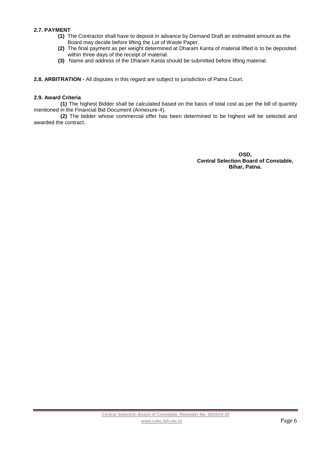# **2.7. PAYMENT**

- **(1)** The Contractor shall have to deposit in advance by Demand Draft an estimated amount as the Board may decide before lifting the Lot of Waste Paper.
- **(2)** The final payment as per weight determined at Dharam Kanta of material lifted is to be deposited within three days of the receipt of material.
- **(3)** Name and address of the Dharam Kanta should be submitted before lifting material.

**2.8. ARBITRATION -** All disputes in this regard are subject to jurisdiction of Patna Court.

#### **2.9. Award Criteria**

**(1)** The highest Bidder shall be calculated based on the basis of total cost as per the bill of quantity mentioned in the Financial Bid Document (Annexure-4).

**(2)** The bidder whose commercial offer has been determined to be highest will be selected and awarded the contract.

> **OSD, Central Selection Board of Constable, Bihar, Patna.**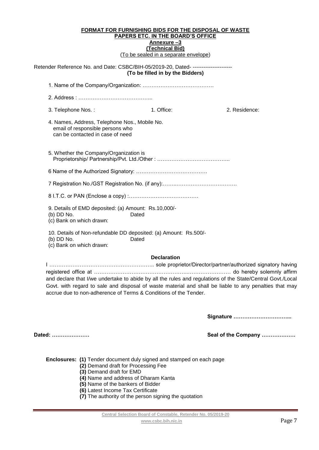| 3. Telephone Nos.:                     | 1. Office:                       | 2. Residence:                                                                                                                                                                                                                                                                                                                                                  |  |  |
|----------------------------------------|----------------------------------|----------------------------------------------------------------------------------------------------------------------------------------------------------------------------------------------------------------------------------------------------------------------------------------------------------------------------------------------------------------|--|--|
| can be contacted in case of need       |                                  |                                                                                                                                                                                                                                                                                                                                                                |  |  |
|                                        |                                  |                                                                                                                                                                                                                                                                                                                                                                |  |  |
|                                        |                                  |                                                                                                                                                                                                                                                                                                                                                                |  |  |
|                                        |                                  |                                                                                                                                                                                                                                                                                                                                                                |  |  |
|                                        |                                  |                                                                                                                                                                                                                                                                                                                                                                |  |  |
| (b) DD No.<br>(c) Bank on which drawn: |                                  |                                                                                                                                                                                                                                                                                                                                                                |  |  |
| (b) DD No.<br>(c) Bank on which drawn: |                                  |                                                                                                                                                                                                                                                                                                                                                                |  |  |
|                                        | email of responsible persons who | Retender Reference No. and Date: CSBC/BIH-05/2019-20, Dated- --------------------<br>(To be filled in by the Bidders)<br>4. Names, Address, Telephone Nos., Mobile No.<br>5. Whether the Company/Organization is<br>9. Details of EMD deposited: (a) Amount: Rs.10,000/-<br>Dated<br>10. Details of Non-refundable DD deposited: (a) Amount: Rs.500/-<br>Dated |  |  |

## **Declaration**

I ………………………………………………….. sole proprietor/Director/partner/authorized signatory having registered office at ……………………………………………..…………………… do hereby solemnly affirm and declare that I/we undertake to abide by all the rules and regulations of the State/Central Govt./Local Govt. with regard to sale and disposal of waste material and shall be liable to any penalties that may accrue due to non-adherence of Terms & Conditions of the Tender.

**Signature …………………………...**

**Dated: ………………… Seal of the Company ……………….**

| <b>Enclosures: (1)</b> Tender document duly signed and stamped on each page |  |  |
|-----------------------------------------------------------------------------|--|--|
| (2) Demand draft for Processing Fee                                         |  |  |
| (3) Demand draft for EMD                                                    |  |  |
| (4) Name and address of Dharam Kanta                                        |  |  |
| (5) Name of the bankers of Bidder                                           |  |  |

- **(6)** Latest Income Tax Certificate
- **(7)** The authority of the person signing the quotation